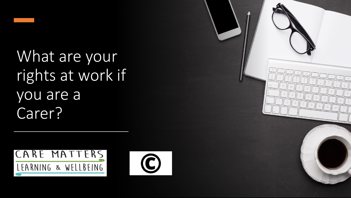What are your rights at work if you are a Carer?



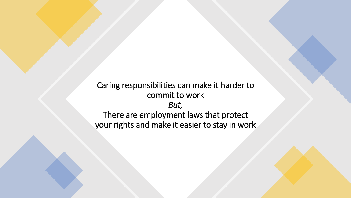Caring responsibilities can make it harder to commit to work *But,* There are employment laws that protect your rights and make it easier to stay in work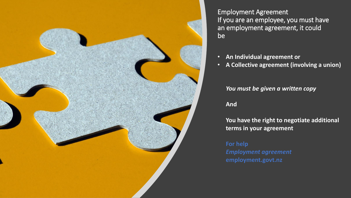

Employment Agreement If you are an employee, you must have an employment agreement, it could be

- **An Individual agreement or**
- **A Collective agreement (involving a union)**

#### *You must be given a written copy*

#### **And**

**You have the right to negotiate additional terms in your agreement**

**For help** *Employment agreement* **employment.govt.nz**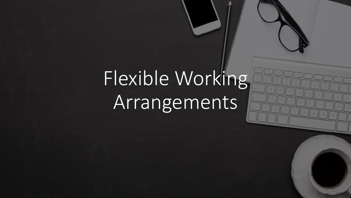# Flexible Working Arrangements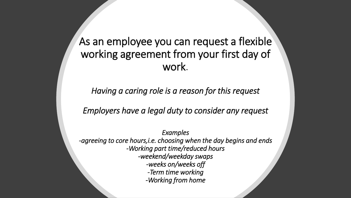As an employee you can request a flexible working agreement from your first day of work.

*Having a caring role is a reason for this request*

*Employers have a legal duty to consider any request*

*Examples -agreeing to core hours,i.e. choosing when the day begins and ends -Working part time/reduced hours -weekend/weekday swaps -weeks on/weeks off -Term time working -Working from home*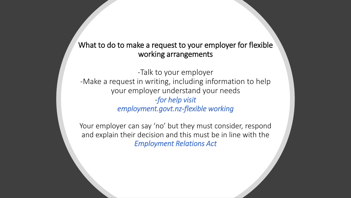### What to do to make a request to your employer for flexible working arrangements

-Talk to your employer -Make a request in writing, including information to help your employer understand your needs -*for help visit employment.govt.nz-flexible working*

Your employer can say 'no' but they must consider, respond and explain their decision and this must be in line with the *Employment Relations Act*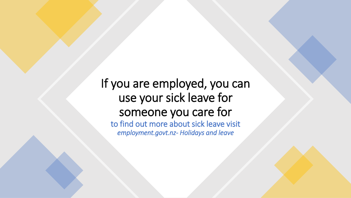If you are employed, you can use your sick leave for someone you care for to find out more about sick leave visit *employment.govt.nz- Holidays and leave*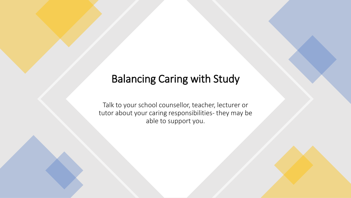# Balancing Caring with Study

Talk to your school counsellor, teacher, lecturer or tutor about your caring responsibilities- they may be able to support you.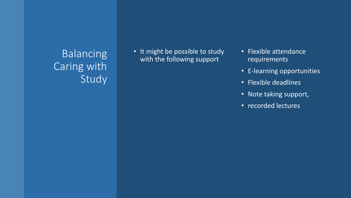## Balancing Caring with Study

• It might be possible to study with the following support

- Flexible attendance requirements
- E -learning opportunities
- Flexible deadlines
- Note taking support,
- recorded lectures